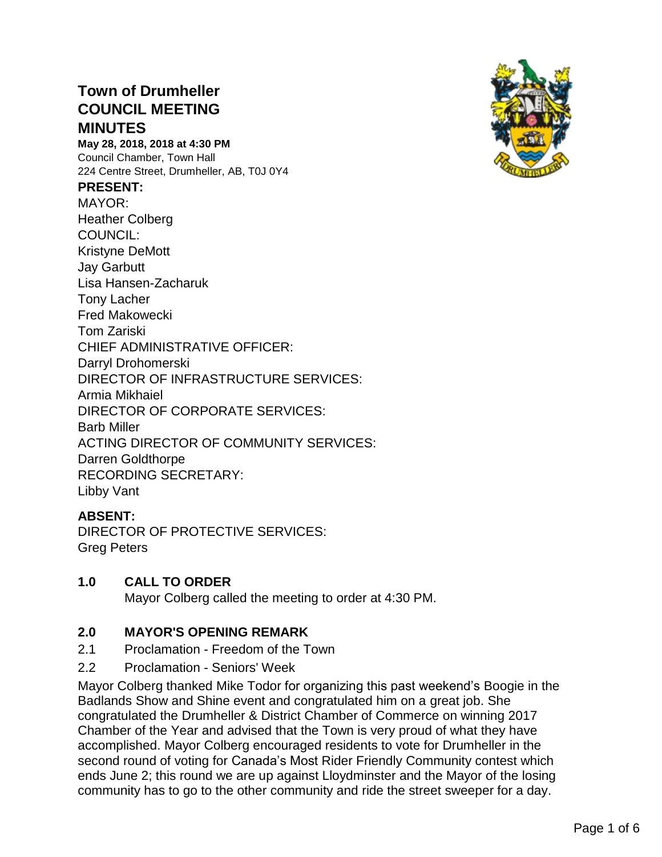# **Town of Drumheller COUNCIL MEETING MINUTES**

**May 28, 2018, 2018 at 4:30 PM** Council Chamber, Town Hall 224 Centre Street, Drumheller, AB, T0J 0Y4

#### **PRESENT:**

MAYOR: Heather Colberg COUNCIL: Kristyne DeMott Jay Garbutt Lisa Hansen-Zacharuk Tony Lacher Fred Makowecki Tom Zariski CHIEF ADMINISTRATIVE OFFICER: Darryl Drohomerski DIRECTOR OF INFRASTRUCTURE SERVICES: Armia Mikhaiel DIRECTOR OF CORPORATE SERVICES: Barb Miller ACTING DIRECTOR OF COMMUNITY SERVICES: Darren Goldthorpe RECORDING SECRETARY: Libby Vant

#### **ABSENT:**

DIRECTOR OF PROTECTIVE SERVICES: Greg Peters

#### **1.0 CALL TO ORDER**

Mayor Colberg called the meeting to order at 4:30 PM.

#### **2.0 MAYOR'S OPENING REMARK**

- 2.1 Proclamation Freedom of the Town
- 2.2 Proclamation Seniors' Week

Mayor Colberg thanked Mike Todor for organizing this past weekend's Boogie in the Badlands Show and Shine event and congratulated him on a great job. She congratulated the Drumheller & District Chamber of Commerce on winning 2017 Chamber of the Year and advised that the Town is very proud of what they have accomplished. Mayor Colberg encouraged residents to vote for Drumheller in the second round of voting for Canada's Most Rider Friendly Community contest which ends June 2; this round we are up against Lloydminster and the Mayor of the losing community has to go to the other community and ride the street sweeper for a day.

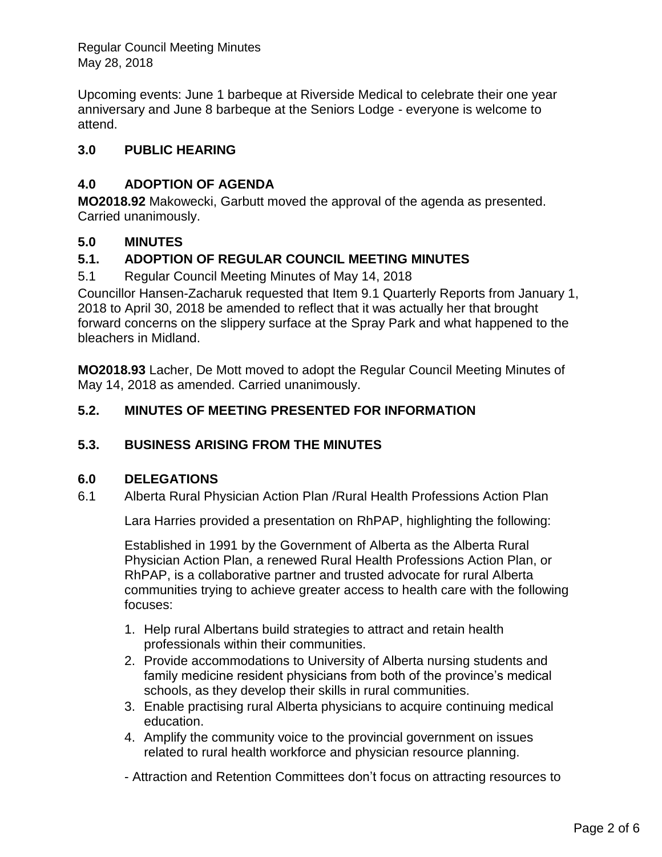Regular Council Meeting Minutes May 28, 2018

Upcoming events: June 1 barbeque at Riverside Medical to celebrate their one year anniversary and June 8 barbeque at the Seniors Lodge - everyone is welcome to attend.

### **3.0 PUBLIC HEARING**

# **4.0 ADOPTION OF AGENDA**

**MO2018.92** Makowecki, Garbutt moved the approval of the agenda as presented. Carried unanimously.

### **5.0 MINUTES**

# **5.1. ADOPTION OF REGULAR COUNCIL MEETING MINUTES**

5.1 Regular Council Meeting Minutes of May 14, 2018

Councillor Hansen-Zacharuk requested that Item 9.1 Quarterly Reports from January 1, 2018 to April 30, 2018 be amended to reflect that it was actually her that brought forward concerns on the slippery surface at the Spray Park and what happened to the bleachers in Midland.

**MO2018.93** Lacher, De Mott moved to adopt the Regular Council Meeting Minutes of May 14, 2018 as amended. Carried unanimously.

### **5.2. MINUTES OF MEETING PRESENTED FOR INFORMATION**

### **5.3. BUSINESS ARISING FROM THE MINUTES**

### **6.0 DELEGATIONS**

6.1 Alberta Rural Physician Action Plan /Rural Health Professions Action Plan

Lara Harries provided a presentation on RhPAP, highlighting the following:

Established in 1991 by the Government of Alberta as the Alberta Rural Physician Action Plan, a renewed Rural Health Professions Action Plan, or RhPAP, is a collaborative partner and trusted advocate for rural Alberta communities trying to achieve greater access to health care with the following focuses:

- 1. Help rural Albertans build strategies to attract and retain health professionals within their communities.
- 2. Provide accommodations to University of Alberta nursing students and family medicine resident physicians from both of the province's medical schools, as they develop their skills in rural communities.
- 3. Enable practising rural Alberta physicians to acquire continuing medical education.
- 4. Amplify the community voice to the provincial government on issues related to rural health workforce and physician resource planning.
- Attraction and Retention Committees don't focus on attracting resources to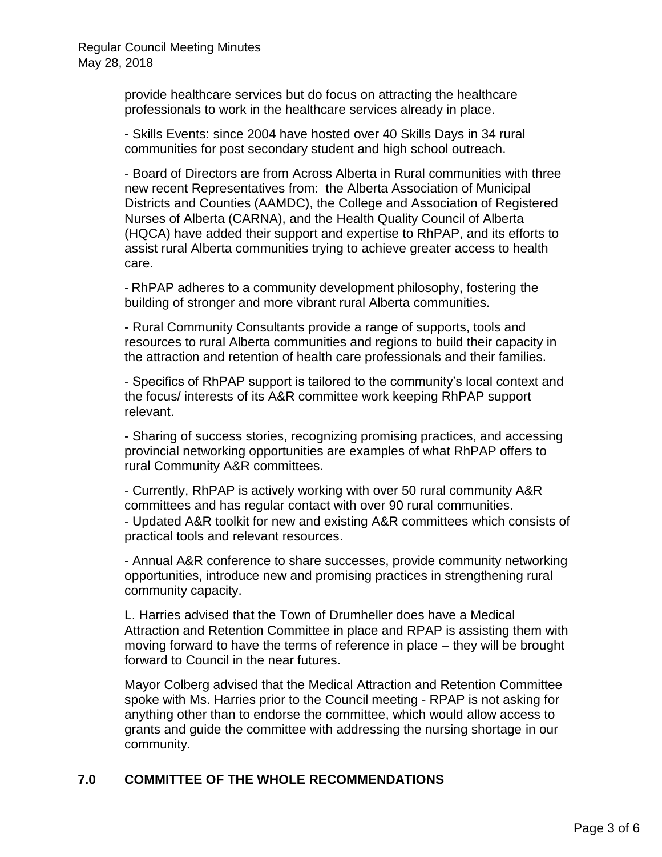provide healthcare services but do focus on attracting the healthcare professionals to work in the healthcare services already in place.

- Skills Events: since 2004 have hosted over 40 Skills Days in 34 rural communities for post secondary student and high school outreach.

- Board of Directors are from Across Alberta in Rural communities with three new recent Representatives from: the Alberta Association of Municipal Districts and Counties (AAMDC), the College and Association of Registered Nurses of Alberta (CARNA), and the Health Quality Council of Alberta (HQCA) have added their support and expertise to RhPAP, and its efforts to assist rural Alberta communities trying to achieve greater access to health care.

- RhPAP adheres to a community development philosophy, fostering the building of stronger and more vibrant rural Alberta communities.

- Rural Community Consultants provide a range of supports, tools and resources to rural Alberta communities and regions to build their capacity in the attraction and retention of health care professionals and their families.

- Specifics of RhPAP support is tailored to the community's local context and the focus/ interests of its A&R committee work keeping RhPAP support relevant.

- Sharing of success stories, recognizing promising practices, and accessing provincial networking opportunities are examples of what RhPAP offers to rural Community A&R committees.

- Currently, RhPAP is actively working with over 50 rural community A&R committees and has regular contact with over 90 rural communities. - Updated A&R toolkit for new and existing A&R committees which consists of practical tools and relevant resources.

- Annual A&R conference to share successes, provide community networking opportunities, introduce new and promising practices in strengthening rural community capacity.

L. Harries advised that the Town of Drumheller does have a Medical Attraction and Retention Committee in place and RPAP is assisting them with moving forward to have the terms of reference in place – they will be brought forward to Council in the near futures.

Mayor Colberg advised that the Medical Attraction and Retention Committee spoke with Ms. Harries prior to the Council meeting - RPAP is not asking for anything other than to endorse the committee, which would allow access to grants and guide the committee with addressing the nursing shortage in our community.

#### **7.0 COMMITTEE OF THE WHOLE RECOMMENDATIONS**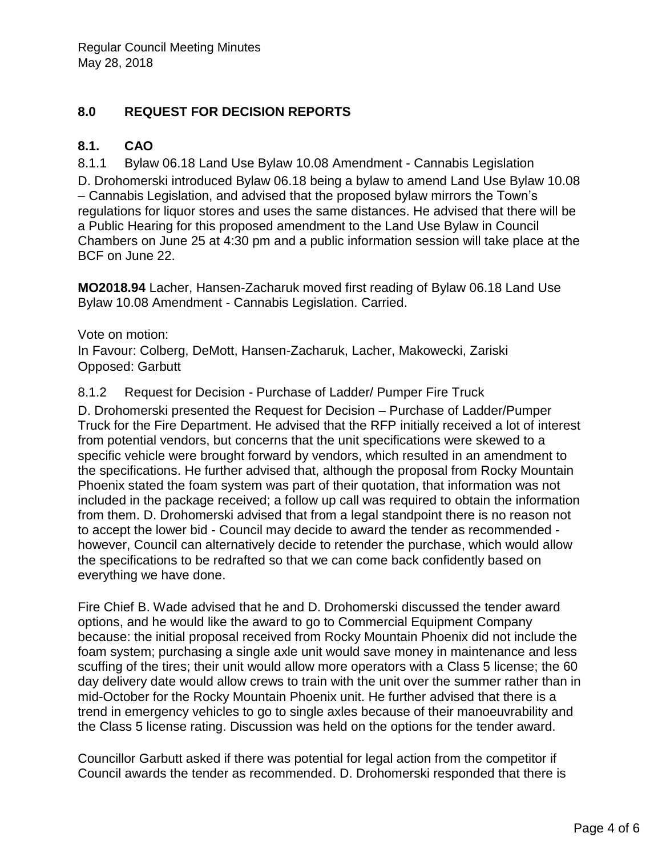# **8.0 REQUEST FOR DECISION REPORTS**

#### **8.1. CAO**

8.1.1 Bylaw 06.18 Land Use Bylaw 10.08 Amendment - Cannabis Legislation

D. Drohomerski introduced Bylaw 06.18 being a bylaw to amend Land Use Bylaw 10.08 – Cannabis Legislation, and advised that the proposed bylaw mirrors the Town's regulations for liquor stores and uses the same distances. He advised that there will be a Public Hearing for this proposed amendment to the Land Use Bylaw in Council Chambers on June 25 at 4:30 pm and a public information session will take place at the BCF on June 22.

**MO2018.94** Lacher, Hansen-Zacharuk moved first reading of Bylaw 06.18 Land Use Bylaw 10.08 Amendment - Cannabis Legislation. Carried.

#### Vote on motion:

In Favour: Colberg, DeMott, Hansen-Zacharuk, Lacher, Makowecki, Zariski Opposed: Garbutt

#### 8.1.2 Request for Decision - Purchase of Ladder/ Pumper Fire Truck

D. Drohomerski presented the Request for Decision – Purchase of Ladder/Pumper Truck for the Fire Department. He advised that the RFP initially received a lot of interest from potential vendors, but concerns that the unit specifications were skewed to a specific vehicle were brought forward by vendors, which resulted in an amendment to the specifications. He further advised that, although the proposal from Rocky Mountain Phoenix stated the foam system was part of their quotation, that information was not included in the package received; a follow up call was required to obtain the information from them. D. Drohomerski advised that from a legal standpoint there is no reason not to accept the lower bid - Council may decide to award the tender as recommended however, Council can alternatively decide to retender the purchase, which would allow the specifications to be redrafted so that we can come back confidently based on everything we have done.

Fire Chief B. Wade advised that he and D. Drohomerski discussed the tender award options, and he would like the award to go to Commercial Equipment Company because: the initial proposal received from Rocky Mountain Phoenix did not include the foam system; purchasing a single axle unit would save money in maintenance and less scuffing of the tires; their unit would allow more operators with a Class 5 license; the 60 day delivery date would allow crews to train with the unit over the summer rather than in mid-October for the Rocky Mountain Phoenix unit. He further advised that there is a trend in emergency vehicles to go to single axles because of their manoeuvrability and the Class 5 license rating. Discussion was held on the options for the tender award.

Councillor Garbutt asked if there was potential for legal action from the competitor if Council awards the tender as recommended. D. Drohomerski responded that there is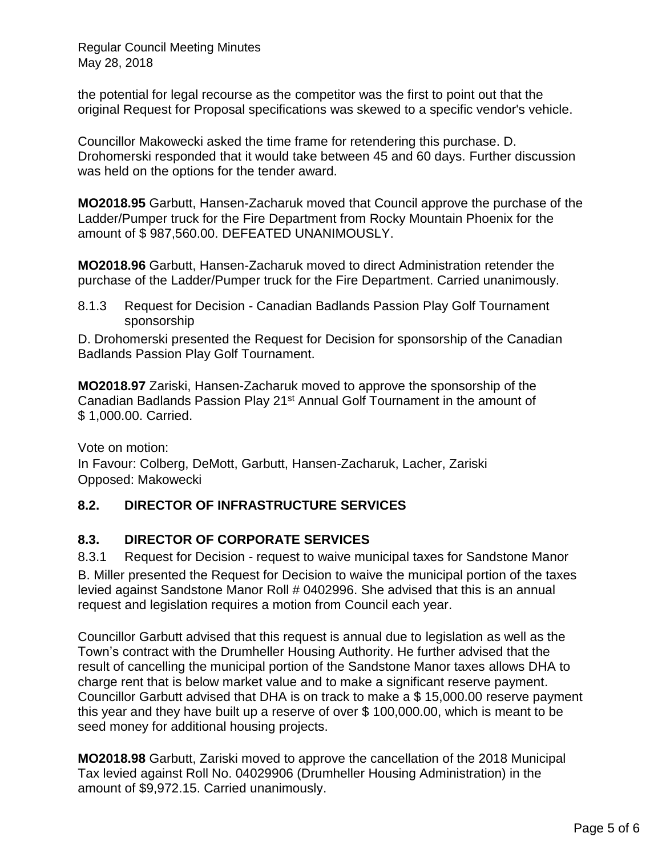Regular Council Meeting Minutes May 28, 2018

the potential for legal recourse as the competitor was the first to point out that the original Request for Proposal specifications was skewed to a specific vendor's vehicle.

Councillor Makowecki asked the time frame for retendering this purchase. D. Drohomerski responded that it would take between 45 and 60 days. Further discussion was held on the options for the tender award.

**MO2018.95** Garbutt, Hansen-Zacharuk moved that Council approve the purchase of the Ladder/Pumper truck for the Fire Department from Rocky Mountain Phoenix for the amount of \$ 987,560.00. DEFEATED UNANIMOUSLY.

**MO2018.96** Garbutt, Hansen-Zacharuk moved to direct Administration retender the purchase of the Ladder/Pumper truck for the Fire Department. Carried unanimously.

8.1.3 Request for Decision - Canadian Badlands Passion Play Golf Tournament sponsorship

D. Drohomerski presented the Request for Decision for sponsorship of the Canadian Badlands Passion Play Golf Tournament.

**MO2018.97** Zariski, Hansen-Zacharuk moved to approve the sponsorship of the Canadian Badlands Passion Play 21st Annual Golf Tournament in the amount of \$ 1,000.00. Carried.

Vote on motion: In Favour: Colberg, DeMott, Garbutt, Hansen-Zacharuk, Lacher, Zariski Opposed: Makowecki

# **8.2. DIRECTOR OF INFRASTRUCTURE SERVICES**

# **8.3. DIRECTOR OF CORPORATE SERVICES**

8.3.1 Request for Decision - request to waive municipal taxes for Sandstone Manor B. Miller presented the Request for Decision to waive the municipal portion of the taxes levied against Sandstone Manor Roll # 0402996. She advised that this is an annual request and legislation requires a motion from Council each year.

Councillor Garbutt advised that this request is annual due to legislation as well as the Town's contract with the Drumheller Housing Authority. He further advised that the result of cancelling the municipal portion of the Sandstone Manor taxes allows DHA to charge rent that is below market value and to make a significant reserve payment. Councillor Garbutt advised that DHA is on track to make a \$ 15,000.00 reserve payment this year and they have built up a reserve of over \$ 100,000.00, which is meant to be seed money for additional housing projects.

**MO2018.98** Garbutt, Zariski moved to approve the cancellation of the 2018 Municipal Tax levied against Roll No. 04029906 (Drumheller Housing Administration) in the amount of \$9,972.15. Carried unanimously.